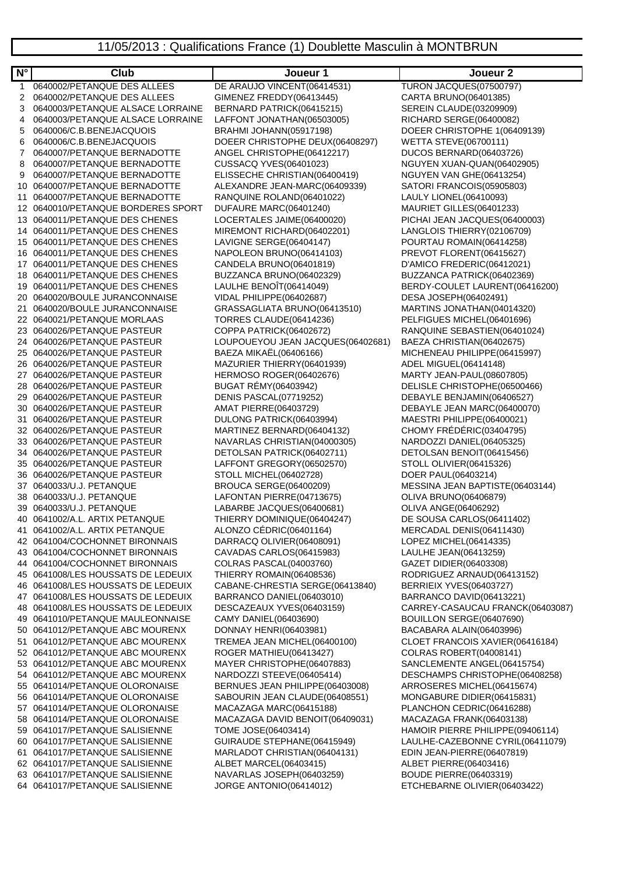| $N^{\circ}$ | <b>Club</b>                                                      | Joueur 1                                                          | Joueur <sub>2</sub>                                       |
|-------------|------------------------------------------------------------------|-------------------------------------------------------------------|-----------------------------------------------------------|
| 1           | 0640002/PETANQUE DES ALLEES                                      | DE ARAUJO VINCENT(06414531)                                       | <b>TURON JACQUES(07500797)</b>                            |
| 2           | 0640002/PETANQUE DES ALLEES                                      | GIMENEZ FREDDY(06413445)                                          | CARTA BRUNO(06401385)                                     |
| 3           | 0640003/PETANQUE ALSACE LORRAINE                                 | BERNARD PATRICK(06415215)                                         | SEREIN CLAUDE(03209909)                                   |
| 4           | 0640003/PETANQUE ALSACE LORRAINE                                 | LAFFONT JONATHAN(06503005)                                        | RICHARD SERGE(06400082)                                   |
| 5           | 0640006/C.B.BENEJACQUOIS                                         | BRAHMI JOHANN(05917198)                                           | DOEER CHRISTOPHE 1(06409139)                              |
| 6           | 0640006/C.B.BENEJACQUOIS                                         | DOEER CHRISTOPHE DEUX(06408297)                                   | <b>WETTA STEVE(06700111)</b>                              |
| 7           | 0640007/PETANQUE BERNADOTTE                                      | ANGEL CHRISTOPHE(06412217)                                        | DUCOS BERNARD(06403726)                                   |
| 8           | 0640007/PETANQUE BERNADOTTE                                      | CUSSACQ YVES(06401023)                                            | NGUYEN XUAN-QUAN(06402905)                                |
| 9           | 0640007/PETANQUE BERNADOTTE                                      | ELISSECHE CHRISTIAN(06400419)                                     | NGUYEN VAN GHE(06413254)                                  |
| 10          | 0640007/PETANQUE BERNADOTTE                                      | ALEXANDRE JEAN-MARC(06409339)                                     | SATORI FRANCOIS(05905803)                                 |
| 11          | 0640007/PETANQUE BERNADOTTE                                      | RANQUINE ROLAND(06401022)                                         | LAULY LIONEL(06410093)                                    |
|             | 12 0640010/PETANQUE BORDERES SPORT                               | DUFAURE MARC(06401240)                                            | MAURIET GILLES(06401233)                                  |
| 13          | 0640011/PETANQUE DES CHENES                                      | LOCERTALES JAIME(06400020)                                        | PICHAI JEAN JACQUES(06400003)                             |
| 14          | 0640011/PETANQUE DES CHENES                                      | MIREMONT RICHARD(06402201)                                        | LANGLOIS THIERRY (02106709)                               |
| 15          | 0640011/PETANQUE DES CHENES                                      | LAVIGNE SERGE(06404147)                                           | POURTAU ROMAIN(06414258)                                  |
| 16          | 0640011/PETANQUE DES CHENES                                      | NAPOLEON BRUNO(06414103)                                          | PREVOT FLORENT(06415627)                                  |
| 17          | 0640011/PETANQUE DES CHENES                                      | CANDELA BRUNO(06401819)                                           | D'AMICO FREDERIC(06412021)                                |
| 18          | 0640011/PETANQUE DES CHENES                                      | BUZZANCA BRUNO(06402329)                                          | BUZZANCA PATRICK(06402369)                                |
| 19          | 0640011/PETANQUE DES CHENES                                      | LAULHE BENOÎT(06414049)                                           | BERDY-COULET LAURENT(06416200)                            |
| 20          | 0640020/BOULE JURANCONNAISE                                      | VIDAL PHILIPPE(06402687)                                          | DESA JOSEPH(06402491)                                     |
| 21          | 0640020/BOULE JURANCONNAISE                                      | GRASSAGLIATA BRUNO(06413510)                                      | MARTINS JONATHAN(04014320)                                |
| 22          | 0640021/PETANQUE MORLAAS                                         | TORRES CLAUDE(06414236)                                           | PELFIGUES MICHEL(06401696)                                |
| 23          | 0640026/PETANQUE PASTEUR                                         | COPPA PATRICK(06402672)                                           | RANQUINE SEBASTIEN(06401024)                              |
| 24          | 0640026/PETANQUE PASTEUR                                         | LOUPOUEYOU JEAN JACQUES(06402681)                                 | BAEZA CHRISTIAN(06402675)                                 |
| 25          | 0640026/PETANQUE PASTEUR                                         | BAEZA MIKAËL(06406166)                                            | MICHENEAU PHILIPPE(06415997)                              |
| 26          | 0640026/PETANQUE PASTEUR                                         | MAZURIER THIERRY(06401939)                                        | ADEL MIGUEL(06414148)                                     |
| 27          | 0640026/PETANQUE PASTEUR                                         | HERMOSO ROGER(06402676)                                           | MARTY JEAN-PAUL(08607805)                                 |
| 28          | 0640026/PETANQUE PASTEUR                                         | BUGAT REMY(06403942)                                              | DELISLE CHRISTOPHE(06500466)                              |
| 29          | 0640026/PETANQUE PASTEUR<br>0640026/PETANQUE PASTEUR             | DENIS PASCAL(07719252)                                            | DEBAYLE BENJAMIN(06406527)<br>DEBAYLE JEAN MARC(06400070) |
| 30          | 0640026/PETANQUE PASTEUR                                         | AMAT PIERRE(06403729)<br>DULONG PATRICK(06403994)                 | MAESTRI PHILIPPE(06400021)                                |
| 31<br>32    | 0640026/PETANQUE PASTEUR                                         | MARTINEZ BERNARD(06404132)                                        | CHOMY FRÉDÉRIC(03404795)                                  |
| 33          | 0640026/PETANQUE PASTEUR                                         | NAVARLAS CHRISTIAN(04000305)                                      | NARDOZZI DANIEL(06405325)                                 |
| 34          | 0640026/PETANQUE PASTEUR                                         | DETOLSAN PATRICK(06402711)                                        | DETOLSAN BENOIT(06415456)                                 |
| 35          | 0640026/PETANQUE PASTEUR                                         | LAFFONT GREGORY(06502570)                                         | STOLL OLIVIER(06415326)                                   |
| 36          | 0640026/PETANQUE PASTEUR                                         | STOLL MICHEL(06402728)                                            | DOER PAUL(06403214)                                       |
| 37          | 0640033/U.J. PETANQUE                                            | <b>BROUCA SERGE(06400209)</b>                                     | MESSINA JEAN BAPTISTE(06403144)                           |
| 38          | 0640033/U.J. PETANQUE                                            | LAFONTAN PIERRE(04713675)                                         | OLIVA BRUNO(06406879)                                     |
| 39          | 0640033/U.J. PETANQUE                                            | LABARBE JACQUES(06400681)                                         | OLIVA ANGE(06406292)                                      |
|             | 40 0641002/A.L. ARTIX PETANQUE                                   | THIERRY DOMINIQUE(06404247)                                       | DE SOUSA CARLOS(06411402)                                 |
|             | 41 0641002/A.L. ARTIX PETANQUE                                   | ALONZO CÉDRIC(06401164)                                           | MERCADAL DENIS(06411430)                                  |
|             | 42 0641004/COCHONNET BIRONNAIS                                   | DARRACQ OLIVIER(06408091)                                         | LOPEZ MICHEL(06414335)                                    |
|             | 43 0641004/COCHONNET BIRONNAIS                                   | CAVADAS CARLOS(06415983)                                          | LAULHE JEAN(06413259)                                     |
|             | 44 0641004/COCHONNET BIRONNAIS                                   | COLRAS PASCAL(04003760)                                           | GAZET DIDIER(06403308)                                    |
|             | 45 0641008/LES HOUSSATS DE LEDEUIX                               | THIERRY ROMAIN(06408536)                                          | RODRIGUEZ ARNAUD(06413152)                                |
|             | 46 0641008/LES HOUSSATS DE LEDEUIX                               | CABANE-CHRESTIA SERGE(06413840)                                   | BERRIEIX YVES(06403727)                                   |
|             | 47 0641008/LES HOUSSATS DE LEDEUIX                               | BARRANCO DANIEL(06403010)                                         | BARRANCO DAVID(06413221)                                  |
| 48          | 0641008/LES HOUSSATS DE LEDEUIX                                  | DESCAZEAUX YVES(06403159)                                         | CARREY-CASAUCAU FRANCK(06403087)                          |
|             | 49 0641010/PETANQUE MAULEONNAISE                                 | CAMY DANIEL(06403690)                                             | BOUILLON SERGE(06407690)                                  |
|             | 50 0641012/PETANQUE ABC MOURENX                                  | DONNAY HENRI(06403981)                                            | BACABARA ALAIN(06403996)                                  |
| 51          | 0641012/PETANQUE ABC MOURENX                                     | TREMEA JEAN MICHEL(06400100)                                      | CLOET FRANCOIS XAVIER(06416184)                           |
|             | 52 0641012/PETANQUE ABC MOURENX                                  | ROGER MATHIEU(06413427)                                           | COLRAS ROBERT(04008141)                                   |
|             | 53 0641012/PETANQUE ABC MOURENX                                  | MAYER CHRISTOPHE(06407883)                                        | SANCLEMENTE ANGEL(06415754)                               |
|             | 54 0641012/PETANQUE ABC MOURENX                                  | NARDOZZI STEEVE(06405414)                                         | DESCHAMPS CHRISTOPHE(06408258)                            |
|             | 55 0641014/PETANQUE OLORONAISE<br>56 0641014/PETANQUE OLORONAISE | BERNUES JEAN PHILIPPE(06403008)<br>SABOURIN JEAN CLAUDE(06408551) | ARROSERES MICHEL(06415674)                                |
|             | 57 0641014/PETANQUE OLORONAISE                                   | MACAZAGA MARC(06415188)                                           | MONGABURE DIDIER(06415831)<br>PLANCHON CEDRIC(06416288)   |
|             | 58 0641014/PETANQUE OLORONAISE                                   | MACAZAGA DAVID BENOIT(06409031)                                   | MACAZAGA FRANK(06403138)                                  |
| 59          | 0641017/PETANQUE SALISIENNE                                      | TOME JOSE(06403414)                                               | HAMOIR PIERRE PHILIPPE(09406114)                          |
|             | 60 0641017/PETANQUE SALISIENNE                                   | GUIRAUDE STEPHANE(06415949)                                       | LAULHE-CAZEBONNE CYRIL(06411079)                          |
| 61.         | 0641017/PETANQUE SALISIENNE                                      | MARLADOT CHRISTIAN(06404131)                                      | EDIN JEAN-PIERRE(06407819)                                |
|             | 62 0641017/PETANQUE SALISIENNE                                   | ALBET MARCEL(06403415)                                            | ALBET PIERRE(06403416)                                    |
|             | 63 0641017/PETANQUE SALISIENNE                                   | NAVARLAS JOSEPH(06403259)                                         | <b>BOUDE PIERRE(06403319)</b>                             |
|             | 64 0641017/PETANQUE SALISIENNE                                   | JORGE ANTONIO(06414012)                                           | ETCHEBARNE OLIVIER(06403422)                              |
|             |                                                                  |                                                                   |                                                           |